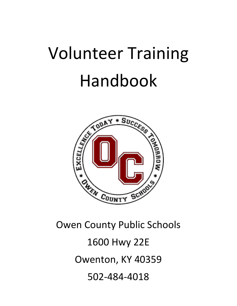# Volunteer Training Handbook



# Owen County Public Schools 1600 Hwy 22E Owenton, KY 40359 502-484-4018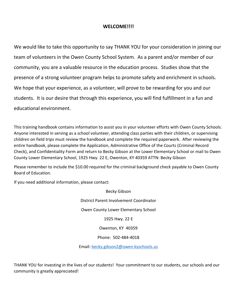# **WELCOME!!!!**

We would like to take this opportunity to say THANK YOU for your consideration in joining our team of volunteers in the Owen County School System. As a parent and/or member of our community, you are a valuable resource in the education process. Studies show that the presence of a strong volunteer program helps to promote safety and enrichment in schools. We hope that your experience, as a volunteer, will prove to be rewarding for you and our students. It is our desire that through this experience, you will find fulfillment in a fun and educational environment.

This training handbook contains information to assist you in your volunteer efforts with Owen County Schools. Anyone interested in serving as a school volunteer, attending class parties with their children, or supervising children on field trips must review the handbook and complete the required paperwork. After reviewing the entire handbook, please complete the Application, Administrative Office of the Courts (Criminal Record Check), and Confidentiality Form and return to Becky Gibson at the Lower Elementary School or mail to Owen County Lower Elementary School, 1925 Hwy. 22 E, Owenton, KY 40359 ATTN: Becky Gibson

Please remember to include the \$10.00 required for the criminal background check payable to Owen County Board of Education.

If you need additional information, please contact:

Becky Gibson District Parent Involvement Coordinator Owen County Lower Elementary School 1925 Hwy. 22 E Owenton, KY 40359 Phone: 502-484-4018

Email[: becky.gibson2@owen.kyschools.us](mailto:becky.gibson2@owen.kyschools.us)

THANK YOU for investing in the lives of our students! Your commitment to our students, our schools and our community is greatly appreciated!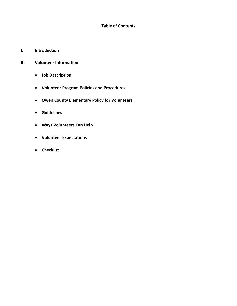# **Table of Contents**

- **I. Introduction**
- **II. Volunteer Information**
	- **Job Description**
	- **Volunteer Program Policies and Procedures**
	- **Owen County Elementary Policy for Volunteers**
	- **Guidelines**
	- **Ways Volunteers Can Help**
	- **Volunteer Expectations**
	- **Checklist**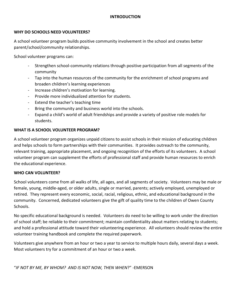# **INTRODUCTION**

#### **WHY DO SCHOOLS NEED VOLUNTEERS?**

A school volunteer program builds positive community involvement in the school and creates better parent/school/community relationships.

School volunteer programs can:

- Strengthen school-community relations through positive participation from all segments of the community
- Tap into the human resources of the community for the enrichment of school programs and broaden children's learning experiences
- Increase children's motivation for learning.
- Provide more individualized attention for students.
- Extend the teacher's teaching time
- Bring the community and business world into the schools.
- Expand a child's world of adult friendships and provide a variety of positive role models for students.

### **WHAT IS A SCHOOL VOLUNTEER PROGRAM?**

A school volunteer program organizes unpaid citizens to assist schools in their mission of educating children and helps schools to form partnerships with their communities. It provides outreach to the community, relevant training, appropriate placement, and ongoing recognition of the efforts of its volunteers. A school volunteer program can supplement the efforts of professional staff and provide human resources to enrich the educational experience.

#### **WHO CAN VOLUNTEER?**

School volunteers come from all walks of life, all ages, and all segments of society. Volunteers may be male or female, young, middle-aged, or older adults, single or married, parents; actively employed, unemployed or retired. They represent every economic, social, racial, religious, ethnic, and educational background in the community. Concerned, dedicated volunteers give the gift of quality time to the children of Owen County Schools.

No specific educational background is needed. Volunteers do need to be willing to work under the direction of school staff; be reliable to their commitment; maintain confidentiality about matters relating to students; and hold a professional attitude toward their volunteering experience. All volunteers should review the entire volunteer training handbook and complete the required paperwork.

Volunteers give anywhere from an hour or two a year to service to multiple hours daily, several days a week. Most volunteers try for a commitment of an hour or two a week.

"*IF NOT BY ME, BY WHOM? AND IS NOT NOW, THEN WHEN*?" -EMERSON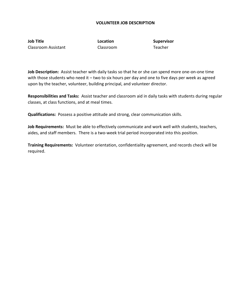#### **VOLUNTEER JOB DESCRIPTION**

**Job Title Construction Construction Construction Supervisor** Classroom Assistant Classroom Teacher

**Job Description:** Assist teacher with daily tasks so that he or she can spend more one-on-one time with those students who need it – two to six hours per day and one to five days per week as agreed upon by the teacher, volunteer, building principal, and volunteer director.

**Responsibilities and Tasks:** Assist teacher and classroom aid in daily tasks with students during regular classes, at class functions, and at meal times.

**Qualifications:** Possess a positive attitude and strong, clear communication skills.

**Job Requirements:** Must be able to effectively communicate and work well with students, teachers, aides, and staff members. There is a two-week trial period incorporated into this position.

**Training Requirements:** Volunteer orientation, confidentiality agreement, and records check will be required.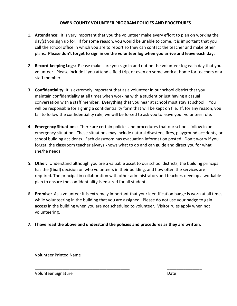# **OWEN COUNTY VOLUNTEER PROGRAM POLICIES AND PROCEDURES**

- **1. Attendance:** It is very important that you the volunteer make every effort to plan on working the day(s) you sign up for. If for some reason, you would be unable to come, it is important that you call the school office in which you are to report so they can contact the teacher and make other plans. **Please don't forget to sign in on the volunteer log when you arrive and leave each day.**
- 2. **Record-keeping Logs:** Please make sure you sign in and out on the volunteer log each day that you volunteer. Please include if you attend a field trip, or even do some work at home for teachers or a staff member.
- 3. **Confidentiality:** It is extremely important that as a volunteer in our school district that you maintain confidentiality at all times when working with a student or just having a casual conversation with a staff member. **Everything** that you hear at school must stay at school. You will be responsible for signing a confidentiality form that will be kept on file. If, for any reason, you fail to follow the confidentiality rule, we will be forced to ask you to leave your volunteer role.
- 4. **Emergency Situations:** There are certain policies and procedures that our schools follow in an emergency situation. These situations may include natural disasters, fires, playground accidents, or school building accidents. Each classroom has evacuation information posted. Don't worry if you forget, the classroom teacher always knows what to do and can guide and direct you for what she/he needs.
- 5. **Other:** Understand although you are a valuable asset to our school districts, the building principal has the (**final**) decision on who volunteers in their building, and how often the services are required. The principal in collaboration with other administrators and teachers develop a workable plan to ensure the confidentiality is ensured for all students.
- 6. **Promise:** As a volunteer it is extremely important that your identification badge is worn at all times while volunteering in the building that you are assigned. Please do not use your badge to gain access in the building when you are not scheduled to volunteer. Visitor rules apply when not volunteering.
- **7. I have read the above and understand the policies and procedures as they are written.**

\_\_\_\_\_\_\_\_\_\_\_\_\_\_\_\_\_\_\_\_\_\_\_\_\_\_\_\_\_\_\_\_\_\_\_\_\_\_\_\_\_ \_\_\_\_\_\_\_\_\_\_\_\_\_\_\_

Volunteer Printed Name

\_\_\_\_\_\_\_\_\_\_\_\_\_\_\_\_\_\_\_\_\_\_\_\_\_\_\_\_\_\_\_\_\_\_\_\_\_\_\_\_\_

Volunteer Signature **Date**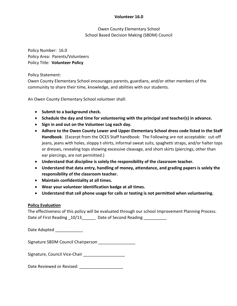# **Volunteer 16.0**

Owen County Elementary School School Based Decision Making (SBDM) Council

Policy Number: 16.0 Policy Area: Parents/Volunteers Policy Title: **Volunteer Policy**

Policy Statement:

Owen County Elementary School encourages parents, guardians, and/or other members of the community to share their time, knowledge, and abilities with our students.

An Owen County Elementary School volunteer shall:

- **•** Submit to a background check.
- **Schedule the day and time for volunteering with the principal and teacher(s) in advance.**
- **Sign in and out on the Volunteer Log each day.**
- **Adhere to the Owen County Lower and Upper Elementary School dress code listed in the Staff Handbook**. (Excerpt from the OCES Staff handbook: The Following are not acceptable: cut-off jeans, jeans with holes, sloppy t-shirts, informal sweat suits, spaghetti straps, and/or halter tops or dresses, revealing tops showing excessive cleavage, and short skirts (piercings, other than ear piercings, are not permitted.)
- **Understand that discipline is solely the responsibility of the classroom teacher.**
- **Understand that data entry, handling of money, attendance, and grading papers is solely the responsibility of the classroom teacher.**
- **Maintain confidentiality at all times.**
- **Wear your volunteer identification badge at all times.**
- **Understand that cell phone usage for calls or texting is not permitted when volunteering.**

# **Policy Evaluation**

The effectiveness of this policy will be evaluated through our school Improvement Planning Process. Date of First Reading \_10/13\_\_\_\_\_\_ Date of Second Reading \_\_\_\_\_\_\_\_\_\_

Date Adopted **Late** 

Signature SBDM Council Chairperson \_\_\_\_\_\_\_\_\_\_\_\_\_\_\_\_\_\_

Signature, Council Vice-Chair \_\_\_\_\_\_\_\_\_\_\_\_\_\_\_\_\_\_

Date Reviewed or Revised: \_\_\_\_\_\_\_\_\_\_\_\_\_\_\_\_\_\_\_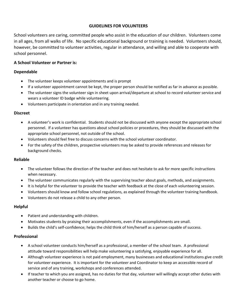#### **GUIDELINES FOR VOLUNTEERS**

School volunteers are caring, committed people who assist in the education of our children. Volunteers come in all ages, from all walks of life. No specific educational background or training is needed. Volunteers should, however, be committed to volunteer activities, regular in attendance, and willing and able to cooperate with school personnel.

# **A School Volunteer or Partner is:**

#### **Dependable**

- The volunteer keeps volunteer appointments and is prompt
- If a volunteer appointment cannot be kept, the proper person should be notified as far in advance as possible.
- The volunteer signs the volunteer sign in sheet upon arrival/departure at school to record volunteer service and wears a volunteer ID badge while volunteering.
- Volunteers participate in orientation and in any training needed.

#### **Discreet**

- A volunteer's work is confidential. Students should not be discussed with anyone except the appropriate school personnel. If a volunteer has questions about school policies or procedures, they should be discussed with the appropriate school personnel, not outside of the school.
- Volunteers should feel free to discuss concerns with the school volunteer coordinator.
- For the safety of the children, prospective volunteers may be asked to provide references and releases for background checks.

#### **Reliable**

- The volunteer follows the direction of the teacher and does not hesitate to ask for more specific instructions when necessary.
- The volunteer communicates regularly with the supervising teacher about goals, methods, and assignments.
- It is helpful for the volunteer to provide the teacher with feedback at the close of each volunteering session.
- Volunteers should know and follow school regulations, as explained through the volunteer training handbook.
- Volunteers do not release a child to any other person.

#### **Helpful**

- Patient and understanding with children.
- Motivates students by praising their accomplishments, even if the accomplishments are small.
- Builds the child's self-confidence; helps the child think of him/herself as a person capable of success.

#### **Professional**

- A school volunteer conducts him/herself as a professional, a member of the school team. A professional attitude toward responsibilities will help make volunteering a satisfying, enjoyable experience for all.
- Although volunteer experience is not paid employment, many businesses and educational institutions give credit for volunteer experience. It is important for the volunteer and Coordinator to keep an accessible record of service and of any training, workshops and conferences attended.
- If teacher to which you are assigned, has no duties for that day, volunteer will willingly accept other duties with another teacher or choose to go home.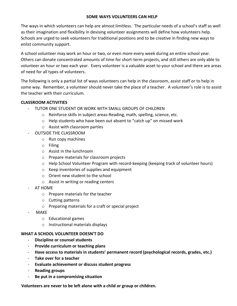# **SOME WAYS VOLUNTEERS CAN HELP**

The ways in which volunteers can help are almost limitless. The particular needs of a school's staff as well as their imagination and flexibility in devising volunteer assignments will define how volunteers help. Schools are urged to seek volunteers for traditional positions and to be creative in finding new ways to enlist community support.

A school volunteer may work an hour or two, or even more every week during an entire school year. Others can donate concentrated amounts of time for short-term projects, and still others are only able to volunteer an hour or two each year. Every volunteer is a valuable asset to your school and there are areas of need for all types of volunteers.

The following is only a partial list of ways volunteers can help in the classroom, assist staff or to help in some way. Remember, a volunteer should never take the place of a teacher. A volunteer's role is to assist the teacher with their curriculum.

# **CLASSROOM ACTIVITIES**

- TUTOR ONE STUDENT OR WORK WITH SMALL GROUPS OF CHILDREN
	- o Reinforce skills in subject areas-Reading, math, spelling, science, etc.
	- o Help students who have been out absent to "catch up" on missed work
	- o Assist with classroom parties
- OUTSIDE THE CLASSROOM
	- o Run copy machines
	- o Filing
	- o Assist in the lunchroom
	- o Prepare materials for classroom projects
	- o Help School Volunteer Program with record-keeping (keeping track of volunteer hours)
	- o Keep inventories of supplies and equipment
	- o Orient new student to the school
	- o Assist in writing or reading centers
- AT HOME
	- o Prepare materials for the teacher
	- o Cutting patterns
	- o Preparing materials for a craft or special project
- **MAKF** 
	- o Educational games
	- o Instructional materials displays

# **WHAT A SCHOOL VOLUNTEER DOESN'T DO**

- **Discipline or counsel students**
- **Provide curriculum or teaching plans**
- **Have access to materials in students' permanent record (psychological records, grades, etc.)**
- **Take over for a teacher**
- **Evaluate achievement or discuss student progress**
- **Reading groups**
- **Be put in a compromising situation**

 **Volunteers are never to be left alone with a child or group or children.**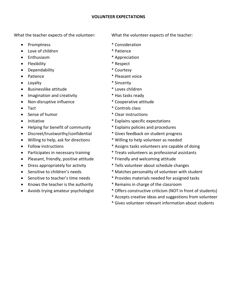#### **VOLUNTEER EXPECTATIONS**

What the teacher expects of the volunteer: What the volunteer expects of the teacher:

- Promptness \* Consideration
- Love of children the state of the state of the state of the state of the state of the state of the state of the state of the state of the state of the state of the state of the state of the state of the state of the stat
- Enthusiasm \* Appreciation
- Flexibility \* Respect
- Dependability \* Courtesy
- 
- Loyalty **\*** Sincerity
- Businesslike attitude \* \* Loves children
- Imagination and creativity **\*** Has tasks ready
- Non-disruptive influence \* \* Cooperative attitude
- 
- Sense of humor  $*$  Clear instructions
- 
- Helping for benefit of community \* Explains policies and procedures
- Discreet/trustworthy/confidential \* Gives feedback on student progress
- Willing to help, ask for directions \* \* Willing to help volunteer as needed
- 
- 
- Pleasant, friendly, positive attitude \* Friendly and welcoming attitude
- 
- 
- 
- Knows the teacher is the authority **\*** Remains in charge of the classroom
- 

- 
- 
- 
- 
- 
- Patience  $*$  Pleasant voice
	-
	-
	-
	-
- Tact \* Controls class
	-
- Initiative **Explains specific expectations** \* Explains specific expectations
	-
	-
	-
- Follow instructions \* \* Assigns tasks volunteers are capable of doing
- Participates in necessary training \* \* Treats volunteers as professional assistants
	-
- Dress appropriately for activity \* Tells volunteer about schedule changes
	- Sensitive to children's needs \* Matches personality of volunteer with student
- Sensitive to teacher's time needs \* \* Provides materials needed for assigned tasks
	-
- Avoids trying amateur psychologist \* Offers constructive criticism (NOT in front of students)
	- \* Accepts creative ideas and suggestions from volunteer
	- \* Gives volunteer relevant information about students